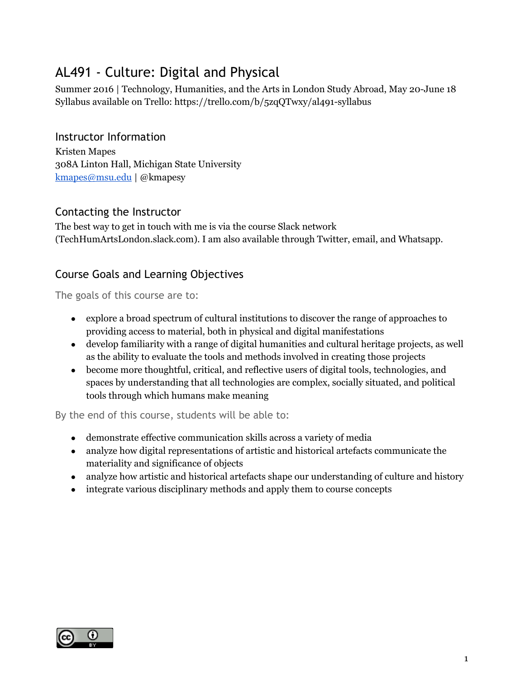# AL491 - Culture: Digital and Physical

Summer 2016 | Technology, Humanities, and the Arts in London Study Abroad, May 20-June 18 Syllabus available on Trello: https://trello.com/b/5zqQTwxy/al491-syllabus

## Instructor Information

Kristen Mapes 308A Linton Hall, Michigan State University [kmapes@msu.edu](mailto:kmapes@msu.edu) | @kmapesy

### Contacting the Instructor

The best way to get in touch with me is via the course Slack network (TechHumArtsLondon.slack.com). I am also available through Twitter, email, and Whatsapp.

# Course Goals and Learning Objectives

The goals of this course are to:

- explore a broad spectrum of cultural institutions to discover the range of approaches to providing access to material, both in physical and digital manifestations
- develop familiarity with a range of digital humanities and cultural heritage projects, as well as the ability to evaluate the tools and methods involved in creating those projects
- become more thoughtful, critical, and reflective users of digital tools, technologies, and spaces by understanding that all technologies are complex, socially situated, and political tools through which humans make meaning

By the end of this course, students will be able to:

- demonstrate effective communication skills across a variety of media
- analyze how digital representations of artistic and historical artefacts communicate the materiality and significance of objects
- analyze how artistic and historical artefacts shape our understanding of culture and history
- integrate various disciplinary methods and apply them to course concepts

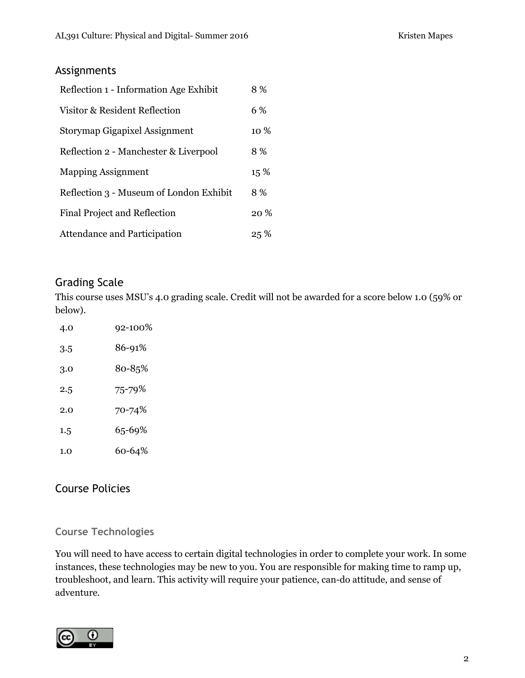### Assignments

| Reflection 1 - Information Age Exhibit  | 8%     |
|-----------------------------------------|--------|
| Visitor & Resident Reflection           | 6 %    |
| Storymap Gigapixel Assignment           | 10 %   |
| Reflection 2 - Manchester & Liverpool   | 8 %    |
| <b>Mapping Assignment</b>               | 15 %   |
| Reflection 3 - Museum of London Exhibit | 8 %    |
| <b>Final Project and Reflection</b>     | $20\%$ |
| Attendance and Participation            | 25%    |

# Grading Scale

This course uses MSU's 4.0 grading scale. Credit will not be awarded for a score below 1.0 (59% or below).

| 4.0     | 92-100% |
|---------|---------|
| 3.5     | 86-91%  |
| 3.0     | 80-85%  |
| 2.5     | 75-79%  |
| 2.0     | 70-74%  |
| $1.5\,$ | 65-69%  |
| 1.0     | 60-64%  |

# Course Policies

# **Course Technologies**

You will need to have access to certain digital technologies in order to complete your work. In some instances, these technologies may be new to you. You are responsible for making time to ramp up, troubleshoot, and learn. This activity will require your patience, can-do attitude, and sense of adventure.

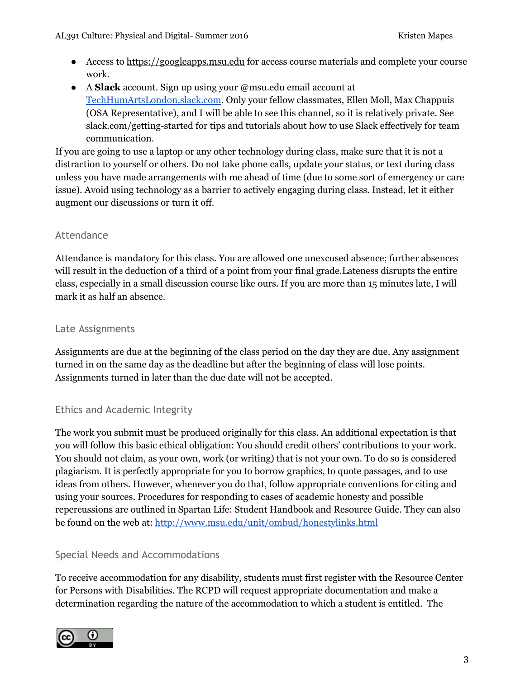- Access to [https://googleapps.msu.edu](https://googleapps.msu.edu/) for access course materials and complete your course work.
- A **Slack** account. Sign up using your @msu.edu email account at [TechHumArtsLondon.slack.com.](http://techhumartslondon.slack.com/) Only your fellow classmates, Ellen Moll, Max Chappuis (OSA Representative), and I will be able to see this channel, so it is relatively private. See [slack.com/getting-started](http://slack.com/getting-started) for tips and tutorials about how to use Slack effectively for team communication.

If you are going to use a laptop or any other technology during class, make sure that it is not a distraction to yourself or others. Do not take phone calls, update your status, or text during class unless you have made arrangements with me ahead of time (due to some sort of emergency or care issue). Avoid using technology as a barrier to actively engaging during class. Instead, let it either augment our discussions or turn it off.

#### Attendance

Attendance is mandatory for this class. You are allowed one unexcused absence; further absences will result in the deduction of a third of a point from your final grade.Lateness disrupts the entire class, especially in a small discussion course like ours. If you are more than 15 minutes late, I will mark it as half an absence.

#### Late Assignments

Assignments are due at the beginning of the class period on the day they are due. Any assignment turned in on the same day as the deadline but after the beginning of class will lose points. Assignments turned in later than the due date will not be accepted.

#### Ethics and Academic Integrity

The work you submit must be produced originally for this class. An additional expectation is that you will follow this basic ethical obligation: You should credit others' contributions to your work. You should not claim, as your own, work (or writing) that is not your own. To do so is considered plagiarism. It is perfectly appropriate for you to borrow graphics, to quote passages, and to use ideas from others. However, whenever you do that, follow appropriate conventions for citing and using your sources. Procedures for responding to cases of academic honesty and possible repercussions are outlined in Spartan Life: Student Handbook and Resource Guide. They can also be found on the web at: <http://www.msu.edu/unit/ombud/honestylinks.html>

#### Special Needs and Accommodations

To receive accommodation for any disability, students must first register with the Resource Center for Persons with Disabilities. The RCPD will request appropriate documentation and make a determination regarding the nature of the accommodation to which a student is entitled. The

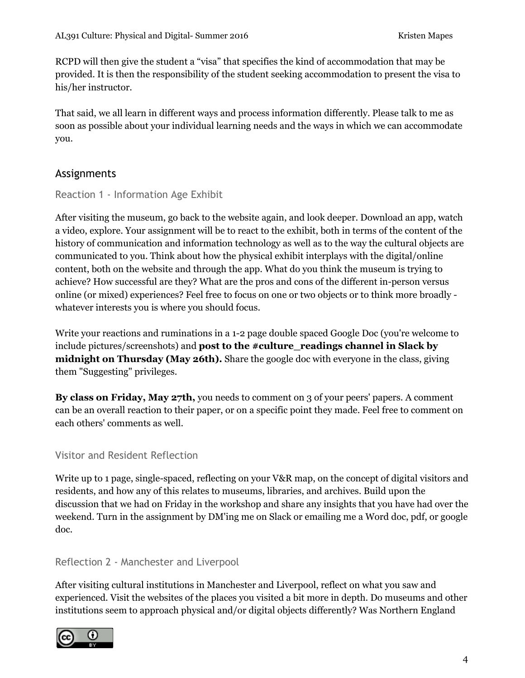RCPD will then give the student a "visa" that specifies the kind of accommodation that may be provided. It is then the responsibility of the student seeking accommodation to present the visa to his/her instructor.

That said, we all learn in different ways and process information differently. Please talk to me as soon as possible about your individual learning needs and the ways in which we can accommodate you.

### Assignments

#### Reaction 1 - Information Age Exhibit

After visiting the museum, go back to the website again, and look deeper. Download an app, watch a video, explore. Your assignment will be to react to the exhibit, both in terms of the content of the history of communication and information technology as well as to the way the cultural objects are communicated to you. Think about how the physical exhibit interplays with the digital/online content, both on the website and through the app. What do you think the museum is trying to achieve? How successful are they? What are the pros and cons of the different in-person versus online (or mixed) experiences? Feel free to focus on one or two objects or to think more broadly whatever interests you is where you should focus.

Write your reactions and ruminations in a 1-2 page double spaced Google Doc (you're welcome to include pictures/screenshots) and **post to the #culture\_readings channel in Slack by midnight on Thursday (May 26th).** Share the google doc with everyone in the class, giving them "Suggesting" privileges.

**By class on Friday, May 27th,** you needs to comment on 3 of your peers' papers. A comment can be an overall reaction to their paper, or on a specific point they made. Feel free to comment on each others' comments as well.

#### Visitor and Resident Reflection

Write up to 1 page, single-spaced, reflecting on your V&R map, on the concept of digital visitors and residents, and how any of this relates to museums, libraries, and archives. Build upon the discussion that we had on Friday in the workshop and share any insights that you have had over the weekend. Turn in the assignment by DM'ing me on Slack or emailing me a Word doc, pdf, or google doc.

#### Reflection 2 - Manchester and Liverpool

After visiting cultural institutions in Manchester and Liverpool, reflect on what you saw and experienced. Visit the websites of the places you visited a bit more in depth. Do museums and other institutions seem to approach physical and/or digital objects differently? Was Northern England

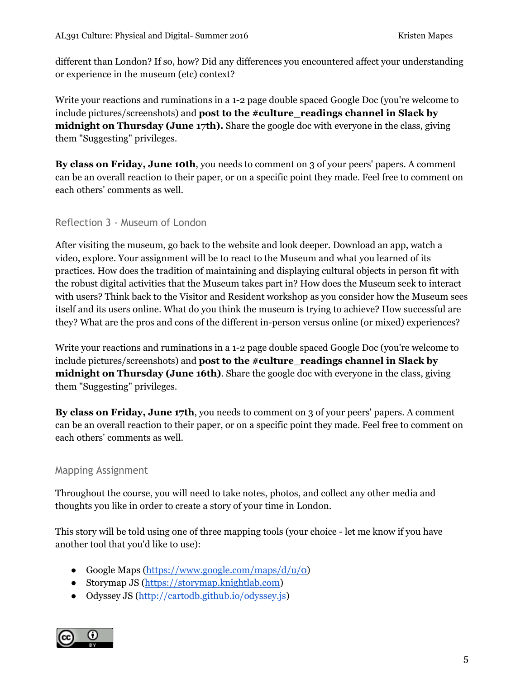different than London? If so, how? Did any differences you encountered affect your understanding or experience in the museum (etc) context?

Write your reactions and ruminations in a 1-2 page double spaced Google Doc (you're welcome to include pictures/screenshots) and **post to the #culture\_readings channel in Slack by midnight on Thursday (June 17th).** Share the google doc with everyone in the class, giving them "Suggesting" privileges.

**By class on Friday, June 10th**, you needs to comment on 3 of your peers' papers. A comment can be an overall reaction to their paper, or on a specific point they made. Feel free to comment on each others' comments as well.

#### Reflection 3 - Museum of London

After visiting the museum, go back to the website and look deeper. Download an app, watch a video, explore. Your assignment will be to react to the Museum and what you learned of its practices. How does the tradition of maintaining and displaying cultural objects in person fit with the robust digital activities that the Museum takes part in? How does the Museum seek to interact with users? Think back to the Visitor and Resident workshop as you consider how the Museum sees itself and its users online. What do you think the museum is trying to achieve? How successful are they? What are the pros and cons of the different in-person versus online (or mixed) experiences?

Write your reactions and ruminations in a 1-2 page double spaced Google Doc (you're welcome to include pictures/screenshots) and **post to the #culture\_readings channel in Slack by midnight on Thursday (June 16th)**. Share the google doc with everyone in the class, giving them "Suggesting" privileges.

**By class on Friday, June 17th**, you needs to comment on 3 of your peers' papers. A comment can be an overall reaction to their paper, or on a specific point they made. Feel free to comment on each others' comments as well.

#### Mapping Assignment

Throughout the course, you will need to take notes, photos, and collect any other media and thoughts you like in order to create a story of your time in London.

This story will be told using one of three mapping tools (your choice - let me know if you have another tool that you'd like to use):

- Google Maps  $\frac{(\text{https://www.google.com/maps/d/u/o)}}{(\text{https://www.google.com/maps/d/u/o)}}$
- Storymap JS [\(https://storymap.knightlab.com\)](https://storymap.knightlab.com/)
- Odyssey JS [\(http://cartodb.github.io/odyssey.js\)](http://cartodb.github.io/odyssey.js)

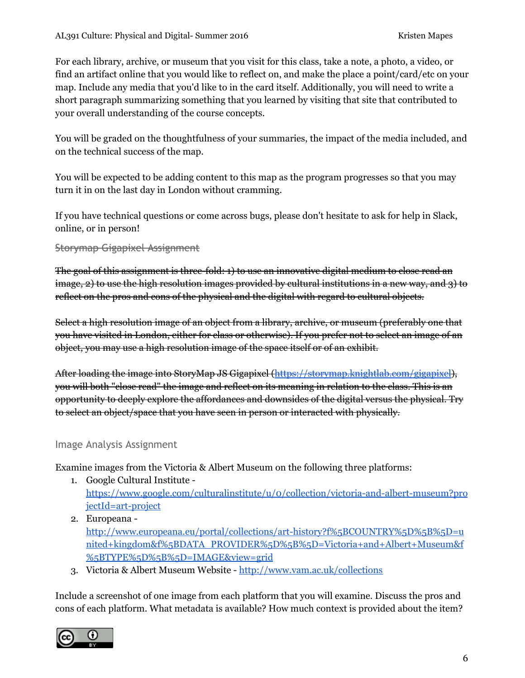For each library, archive, or museum that you visit for this class, take a note, a photo, a video, or find an artifact online that you would like to reflect on, and make the place a point/card/etc on your map. Include any media that you'd like to in the card itself. Additionally, you will need to write a short paragraph summarizing something that you learned by visiting that site that contributed to your overall understanding of the course concepts.

You will be graded on the thoughtfulness of your summaries, the impact of the media included, and on the technical success of the map.

You will be expected to be adding content to this map as the program progresses so that you may turn it in on the last day in London without cramming.

If you have technical questions or come across bugs, please don't hesitate to ask for help in Slack, online, or in person!

Storymap Gigapixel Assignment

The goal of this assignment is three-fold: 1) to use an innovative digital medium to close read an image, 2) to use the high resolution images provided by cultural institutions in a new way, and 3) to reflect on the pros and cons of the physical and the digital with regard to cultural objects.

Select a high resolution image of an object from a library, archive, or museum (preferably one that you have visited in London, either for class or otherwise). If you prefer not to select an image of an object, you may use a high resolution image of the space itself or of an exhibit.

After loading the image into StoryMap JS Gigapixel [\(https://storymap.knightlab.com/gigapixel\)](https://storymap.knightlab.com/gigapixel), you will both "close read" the image and reflect on its meaning in relation to the class. This is an opportunity to deeply explore the affordances and downsides of the digital versus the physical. Try to select an object/space that you have seen in person or interacted with physically.

#### Image Analysis Assignment

Examine images from the Victoria & Albert Museum on the following three platforms:

- 1. Google Cultural Institute [https://www.google.com/culturalinstitute/u/0/collection/victoria-and-albert-museum?pro](https://www.google.com/culturalinstitute/u/0/collection/victoria-and-albert-museum?projectId=art-project) [jectId=art-project](https://www.google.com/culturalinstitute/u/0/collection/victoria-and-albert-museum?projectId=art-project)
- 2. Europeana [http://www.europeana.eu/portal/collections/art-history?f%5BCOUNTRY%5D%5B%5D=u](http://www.europeana.eu/portal/collections/art-history?f%5BCOUNTRY%5D%5B%5D=united+kingdom&f%5BDATA_PROVIDER%5D%5B%5D=Victoria+and+Albert+Museum&f%5BTYPE%5D%5B%5D=IMAGE&view=grid) [nited+kingdom&f%5BDATA\\_PROVIDER%5D%5B%5D=Victoria+and+Albert+Museum&f](http://www.europeana.eu/portal/collections/art-history?f%5BCOUNTRY%5D%5B%5D=united+kingdom&f%5BDATA_PROVIDER%5D%5B%5D=Victoria+and+Albert+Museum&f%5BTYPE%5D%5B%5D=IMAGE&view=grid) [%5BTYPE%5D%5B%5D=IMAGE&view=grid](http://www.europeana.eu/portal/collections/art-history?f%5BCOUNTRY%5D%5B%5D=united+kingdom&f%5BDATA_PROVIDER%5D%5B%5D=Victoria+and+Albert+Museum&f%5BTYPE%5D%5B%5D=IMAGE&view=grid)
- 3. Victoria & Albert Museum Website -<http://www.vam.ac.uk/collections>

Include a screenshot of one image from each platform that you will examine. Discuss the pros and cons of each platform. What metadata is available? How much context is provided about the item?

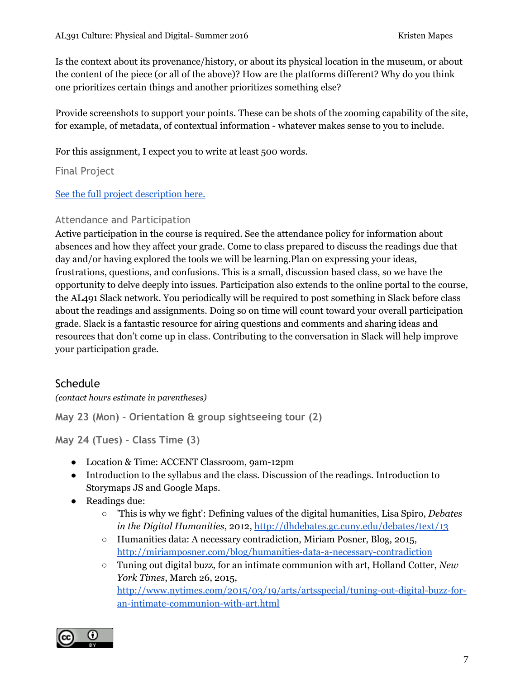Is the context about its provenance/history, or about its physical location in the museum, or about the content of the piece (or all of the above)? How are the platforms different? Why do you think one prioritizes certain things and another prioritizes something else?

Provide screenshots to support your points. These can be shots of the zooming capability of the site, for example, of metadata, of contextual information - whatever makes sense to you to include.

For this assignment, I expect you to write at least 500 words.

Final Project

[See the full project description here.](https://docs.google.com/document/d/1TGlLxvLrAsWq7ANxTRLysxJI35xU3D1-RnHJFVthm_I/edit#)

#### Attendance and Participation

Active participation in the course is required. See the attendance policy for information about absences and how they affect your grade. Come to class prepared to discuss the readings due that day and/or having explored the tools we will be learning.Plan on expressing your ideas, frustrations, questions, and confusions. This is a small, discussion based class, so we have the opportunity to delve deeply into issues. Participation also extends to the online portal to the course, the AL491 Slack network. You periodically will be required to post something in Slack before class about the readings and assignments. Doing so on time will count toward your overall participation grade. Slack is a fantastic resource for airing questions and comments and sharing ideas and resources that don't come up in class. Contributing to the conversation in Slack will help improve your participation grade.

# **Schedule**

*(contact hours estimate in parentheses)*

**May 23 (Mon) - Orientation & group sightseeing tour (2)**

**May 24 (Tues) - Class Time (3)**

- Location & Time: ACCENT Classroom, 9am-12pm
- Introduction to the syllabus and the class. Discussion of the readings. Introduction to Storymaps JS and Google Maps.
- Readings due:
	- 'This is why we fight': Defining values of the digital humanities, Lisa Spiro, *Debates in the Digital Humanities*, 2012,<http://dhdebates.gc.cuny.edu/debates/text/13>
	- Humanities data: A necessary contradiction, Miriam Posner, Blog, 2015, <http://miriamposner.com/blog/humanities-data-a-necessary-contradiction>
	- Tuning out digital buzz, for an intimate communion with art, Holland Cotter, *New York Times*, March 26, 2015, [http://www.nytimes.com/2015/03/19/arts/artsspecial/tuning-out-digital-buzz-for](http://www.nytimes.com/2015/03/19/arts/artsspecial/tuning-out-digital-buzz-for-an-intimate-communion-with-art.html)[an-intimate-communion-with-art.html](http://www.nytimes.com/2015/03/19/arts/artsspecial/tuning-out-digital-buzz-for-an-intimate-communion-with-art.html)

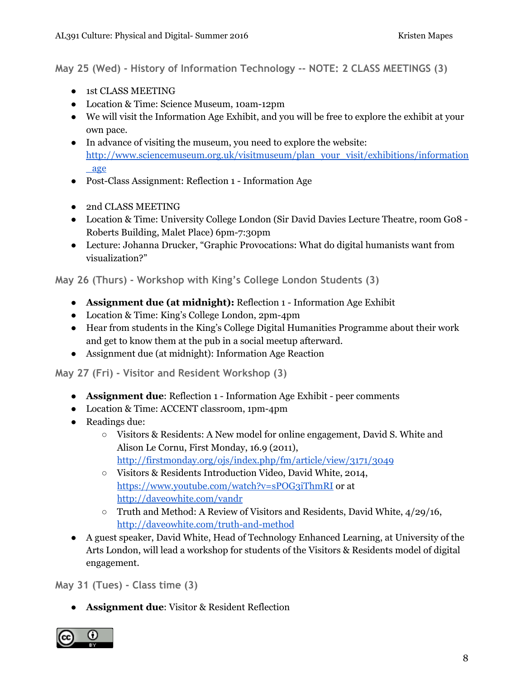**May 25 (Wed) - History of Information Technology -- NOTE: 2 CLASS MEETINGS (3)**

- 1st CLASS MEETING
- Location & Time: Science Museum, 10am-12pm
- We will visit the Information Age Exhibit, and you will be free to explore the exhibit at your own pace.
- In advance of visiting the museum, you need to explore the website: [http://www.sciencemuseum.org.uk/visitmuseum/plan\\_your\\_visit/exhibitions/information](http://www.sciencemuseum.org.uk/visitmuseum/plan_your_visit/exhibitions/information_age) [\\_age](http://www.sciencemuseum.org.uk/visitmuseum/plan_your_visit/exhibitions/information_age)
- Post-Class Assignment: Reflection 1 Information Age
- 2nd CLASS MEETING
- Location & Time: University College London (Sir David Davies Lecture Theatre, room Go8 -Roberts Building, Malet Place) 6pm-7:30pm
- Lecture: Johanna Drucker, "Graphic Provocations: What do digital humanists want from visualization?"

**May 26 (Thurs) - Workshop with King's College London Students (3)**

- **Assignment due (at midnight):** Reflection 1 Information Age Exhibit
- Location & Time: King's College London, 2pm-4pm
- Hear from students in the King's College Digital Humanities Programme about their work and get to know them at the pub in a social meetup afterward.
- Assignment due (at midnight): Information Age Reaction

**May 27 (Fri) - Visitor and Resident Workshop (3)**

- **Assignment due**: Reflection 1 Information Age Exhibit peer comments
- Location & Time: ACCENT classroom, 1pm-4pm
- Readings due:
	- Visitors & Residents: A New model for online engagement, David S. White and Alison Le Cornu, First Monday, 16.9 (2011), <http://firstmonday.org/ojs/index.php/fm/article/view/3171/3049>
	- Visitors & Residents Introduction Video, David White, 2014, <https://www.youtube.com/watch?v=sPOG3iThmRI> or at [http://daveowhite.com/vandr](http://daveowhite.com/vandr/)
	- Truth and Method: A Review of Visitors and Residents, David White, 4/29/16, [http://daveowhite.com/truth-and-method](http://daveowhite.com/truth-and-method/)
- A guest speaker, David White, Head of Technology Enhanced Learning, at University of the Arts London, will lead a workshop for students of the Visitors & Residents model of digital engagement.

**May 31 (Tues) - Class time (3)**

● **Assignment due**: Visitor & Resident Reflection

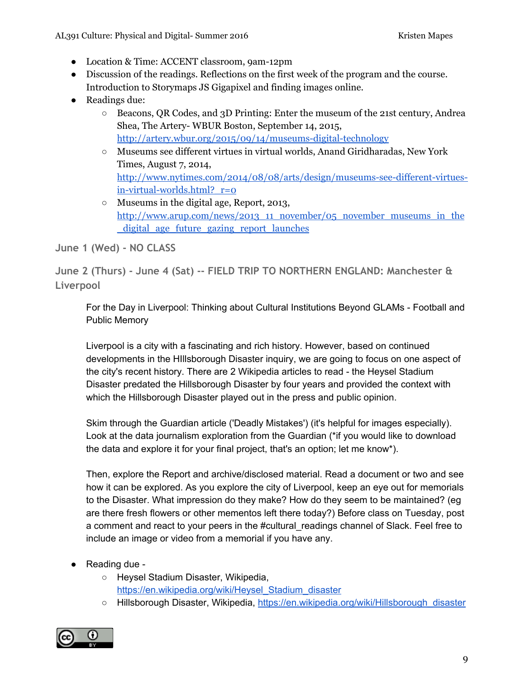- Location & Time: ACCENT classroom, 9am-12pm
- Discussion of the readings. Reflections on the first week of the program and the course. Introduction to Storymaps JS Gigapixel and finding images online.
- Readings due:
	- Beacons, QR Codes, and 3D Printing: Enter the museum of the 21st century, Andrea Shea, The Artery- WBUR Boston, September 14, 2015, <http://artery.wbur.org/2015/09/14/museums-digital-technology>
	- Museums see different virtues in virtual worlds, Anand Giridharadas, New York Times, August 7, 2014, [http://www.nytimes.com/2014/08/08/arts/design/museums-see-different-virtues](http://www.nytimes.com/2014/08/08/arts/design/museums-see-different-virtues-in-virtual-worlds.html?_r=0)[in-virtual-worlds.html?\\_r=0](http://www.nytimes.com/2014/08/08/arts/design/museums-see-different-virtues-in-virtual-worlds.html?_r=0)
	- Museums in the digital age, Report, 2013, [http://www.arup.com/news/2013\\_11\\_november/05\\_november\\_museums\\_in\\_the](http://www.arup.com/news/2013_11_november/05_november_museums_in_the_digital_age_future_gazing_report_launches) [\\_digital\\_age\\_future\\_gazing\\_report\\_launches](http://www.arup.com/news/2013_11_november/05_november_museums_in_the_digital_age_future_gazing_report_launches)

**June 1 (Wed) - NO CLASS**

**June 2 (Thurs) - June 4 (Sat) -- FIELD TRIP TO NORTHERN ENGLAND: Manchester & Liverpool**

For the Day in Liverpool: Thinking about Cultural Institutions Beyond GLAMs - Football and Public Memory

Liverpool is a city with a fascinating and rich history. However, based on continued developments in the HIllsborough Disaster inquiry, we are going to focus on one aspect of the city's recent history. There are 2 Wikipedia articles to read - the Heysel Stadium Disaster predated the Hillsborough Disaster by four years and provided the context with which the Hillsborough Disaster played out in the press and public opinion.

Skim through the Guardian article ('Deadly Mistakes') (it's helpful for images especially). Look at the data journalism exploration from the Guardian (\*if you would like to download the data and explore it for your final project, that's an option; let me know\*).

Then, explore the Report and archive/disclosed material. Read a document or two and see how it can be explored. As you explore the city of Liverpool, keep an eye out for memorials to the Disaster. What impression do they make? How do they seem to be maintained? (eg are there fresh flowers or other mementos left there today?) Before class on Tuesday, post a comment and react to your peers in the #cultural readings channel of Slack. Feel free to include an image or video from a memorial if you have any.

- Reading due
	- Heysel Stadium Disaster, Wikipedia, [https://en.wikipedia.org/wiki/Heysel\\_Stadium\\_disaster](https://en.wikipedia.org/wiki/Heysel_Stadium_disaster)
	- Hillsborough Disaster, Wikipedia, [https://en.wikipedia.org/wiki/Hillsborough\\_disaster](https://en.wikipedia.org/wiki/Hillsborough_disaster)

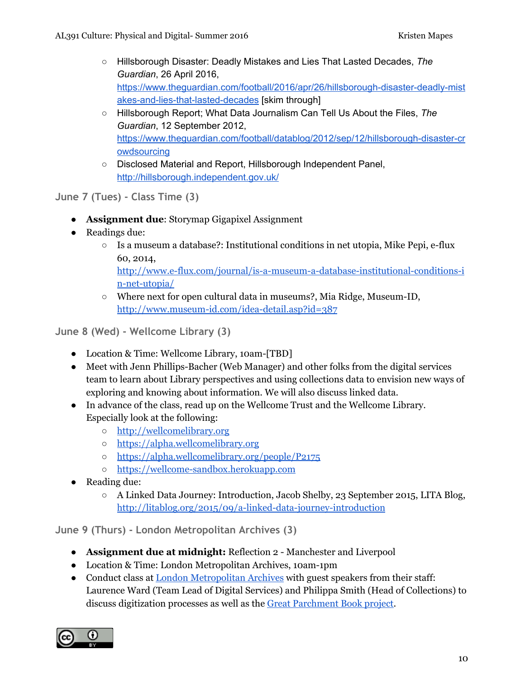- Hillsborough Disaster: Deadly Mistakes and Lies That Lasted Decades, *The Guardian*, 26 April 2016, [https://www.theguardian.com/football/2016/apr/26/hillsborough-disaster-deadly-mist](https://www.theguardian.com/football/2016/apr/26/hillsborough-disaster-deadly-mistakes-and-lies-that-lasted-decades) [akes-and-lies-that-lasted-decades](https://www.theguardian.com/football/2016/apr/26/hillsborough-disaster-deadly-mistakes-and-lies-that-lasted-decades) [skim through]
- Hillsborough Report; What Data Journalism Can Tell Us About the Files, *The Guardian*, 12 September 2012, [https://www.theguardian.com/football/datablog/2012/sep/12/hillsborough-disaster-cr](https://www.theguardian.com/football/datablog/2012/sep/12/hillsborough-disaster-crowdsourcing) [owdsourcing](https://www.theguardian.com/football/datablog/2012/sep/12/hillsborough-disaster-crowdsourcing)
- Disclosed Material and Report, Hillsborough Independent Panel, <http://hillsborough.independent.gov.uk/>

**June 7 (Tues) - Class Time (3)**

- **Assignment due**: Storymap Gigapixel Assignment
- Readings due:
	- $\circ$  Is a museum a database?: Institutional conditions in net utopia, Mike Pepi, e-flux 60, 2014, [http://www.e-flux.com/journal/is-a-museum-a-database-institutional-conditions-i](http://www.e-flux.com/journal/is-a-museum-a-database-institutional-conditions-in-net-utopia/) [n-net-utopia/](http://www.e-flux.com/journal/is-a-museum-a-database-institutional-conditions-in-net-utopia/)
	- Where next for open cultural data in museums?, Mia Ridge, Museum-ID, <http://www.museum-id.com/idea-detail.asp?id=387>

**June 8 (Wed) - Wellcome Library (3)**

- Location & Time: Wellcome Library, 10am-[TBD]
- Meet with Jenn Phillips-Bacher (Web Manager) and other folks from the digital services team to learn about Library perspectives and using collections data to envision new ways of exploring and knowing about information. We will also discuss linked data.
- In advance of the class, read up on the Wellcome Trust and the Wellcome Library. Especially look at the following:
	- [http://wellcomelibrary.org](http://wellcomelibrary.org/)
	- [https://alpha.wellcomelibrary.org](https://alpha.wellcomelibrary.org/)
	- <https://alpha.wellcomelibrary.org/people/P2175>
	- [https://wellcome-sandbox.herokuapp.com](https://wellcome-sandbox.herokuapp.com/)
- Reading due:
	- A Linked Data Journey: Introduction, Jacob Shelby, 23 September 2015, LITA Blog, <http://litablog.org/2015/09/a-linked-data-journey-introduction>

**June 9 (Thurs) - London Metropolitan Archives (3)**

- **Assignment due at midnight:** Reflection 2 Manchester and Liverpool
- Location & Time: London Metropolitan Archives, 10am-1pm
- Conduct class at [London Metropolitan Archives](https://www.cityoflondon.gov.uk/things-to-do/london-metropolitan-archives/Pages/default.aspx) with guest speakers from their staff: Laurence Ward (Team Lead of Digital Services) and Philippa Smith (Head of Collections) to discuss digitization processes as well as the [Great Parchment](http://www.greatparchmentbook.org/) Book project.

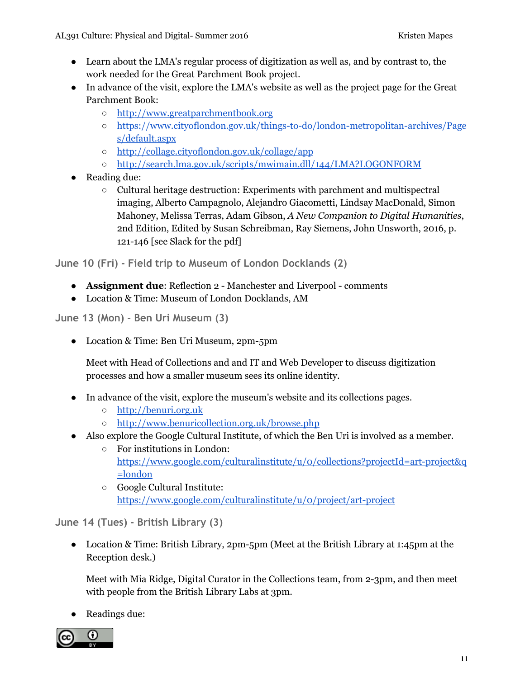- Learn about the LMA's regular process of digitization as well as, and by contrast to, the work needed for the Great Parchment Book project.
- In advance of the visit, explore the LMA's website as well as the project page for the Great Parchment Book:
	- [http://www.greatparchmentbook.org](http://www.greatparchmentbook.org/)
	- [https://www.cityoflondon.gov.uk/things-to-do/london-metropolitan-archives/Page](https://www.cityoflondon.gov.uk/things-to-do/london-metropolitan-archives/Pages/default.aspx) [s/default.aspx](https://www.cityoflondon.gov.uk/things-to-do/london-metropolitan-archives/Pages/default.aspx)
	- <http://collage.cityoflondon.gov.uk/collage/app>
	- <http://search.lma.gov.uk/scripts/mwimain.dll/144/LMA?LOGONFORM>
- Reading due:
	- Cultural heritage destruction: Experiments with parchment and multispectral imaging, Alberto Campagnolo, Alejandro Giacometti, Lindsay MacDonald, Simon Mahoney, Melissa Terras, Adam Gibson, *A New Companion to Digital Humanities*, 2nd Edition, Edited by Susan Schreibman, Ray Siemens, John Unsworth, 2016, p. 121-146 [see Slack for the pdf]

**June 10 (Fri) - Field trip to Museum of London Docklands (2)**

- **Assignment due**: Reflection 2 Manchester and Liverpool comments
- Location & Time: Museum of London Docklands, AM

**June 13 (Mon) - Ben Uri Museum (3)**

● Location & Time: Ben Uri Museum, 2pm-5pm

Meet with Head of Collections and and IT and Web Developer to discuss digitization processes and how a smaller museum sees its online identity.

- In advance of the visit, explore the museum's website and its collections pages.
	- [http://benuri.org.uk](http://benuri.org.uk/)
	- <http://www.benuricollection.org.uk/browse.php>
- Also explore the Google Cultural Institute, of which the Ben Uri is involved as a member.
	- For institutions in London: [https://www.google.com/culturalinstitute/u/0/collections?projectId=art-project&q](https://www.google.com/culturalinstitute/u/0/collections?projectId=art-project&q=london) [=london](https://www.google.com/culturalinstitute/u/0/collections?projectId=art-project&q=london)
	- Google Cultural Institute: <https://www.google.com/culturalinstitute/u/0/project/art-project>

**June 14 (Tues) - British Library (3)**

● Location & Time: British Library, 2pm-5pm (Meet at the British Library at 1:45pm at the Reception desk.)

Meet with Mia Ridge, Digital Curator in the Collections team, from 2-3pm, and then meet with people from the British Library Labs at 3pm.

• Readings due: